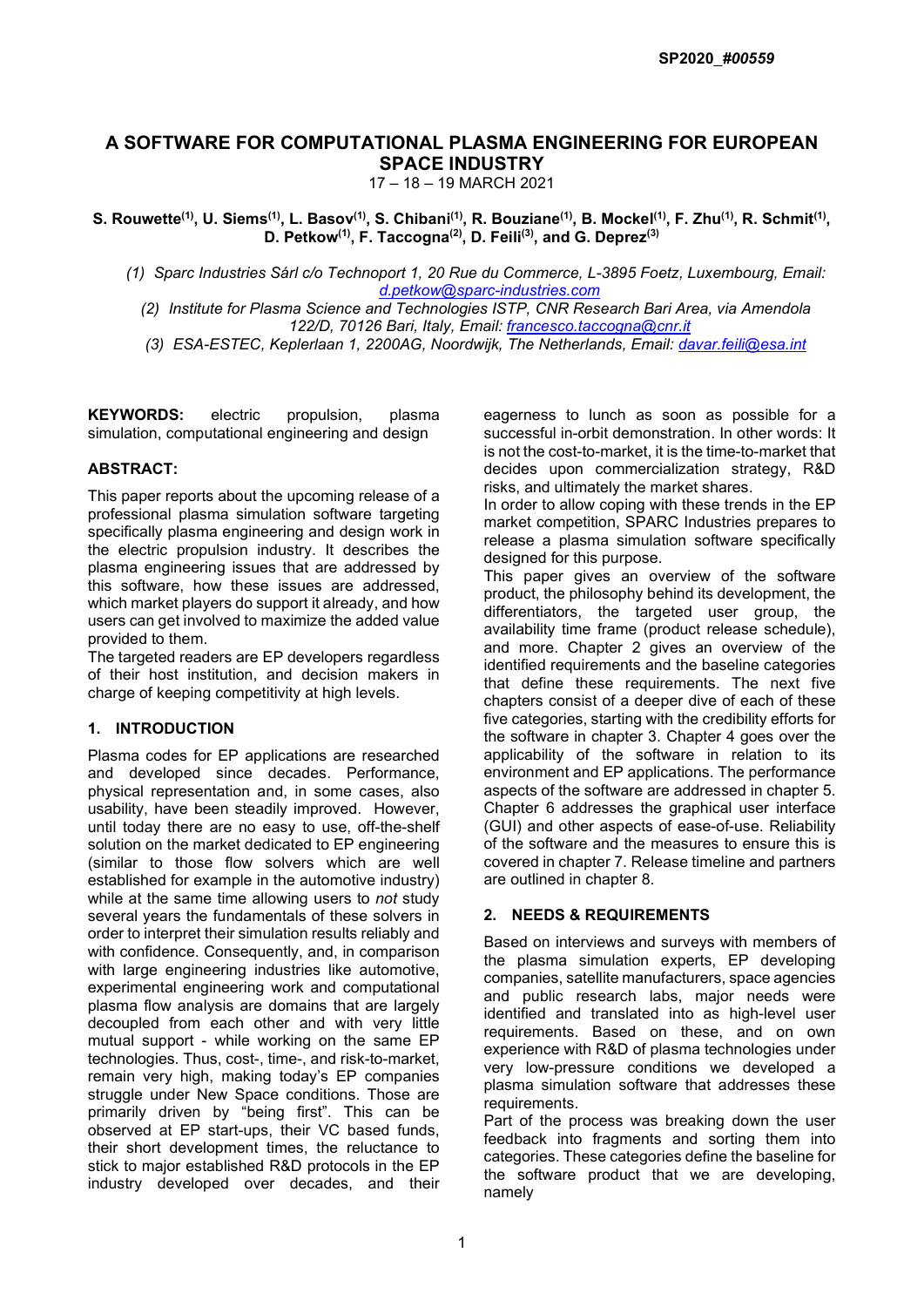# A SOFTWARE FOR COMPUTATIONAL PLASMA ENGINEERING FOR EUROPEAN SPACE INDUSTRY

17 – 18 – 19 MARCH 2021

S. Rouwette<sup>(1)</sup>, U. Siems<sup>(1)</sup>, L. Basov<sup>(1)</sup>, S. Chibani<sup>(1)</sup>, R. Bouziane<sup>(1)</sup>, B. Mockel<sup>(1)</sup>, F. Zhu<sup>(1)</sup>, R. Schmit<sup>(1)</sup>, D. Petkow<sup>(1)</sup>, F. Taccogna<sup>(2)</sup>, D. Feili<sup>(3)</sup>, and G. Deprez<sup>(3)</sup>

(1) Sparc Industries Sárl c/o Technoport 1, 20 Rue du Commerce, L-3895 Foetz, Luxembourg, Email: d.petkow@sparc-industries.com

(2) Institute for Plasma Science and Technologies ISTP, CNR Research Bari Area, via Amendola 122/D, 70126 Bari, Italy, Email: francesco.taccogna@cnr.it

(3) ESA-ESTEC, Keplerlaan 1, 2200AG, Noordwijk, The Netherlands, Email: davar.feili@esa.int

KEYWORDS: electric propulsion, plasma simulation, computational engineering and design

#### ABSTRACT:

This paper reports about the upcoming release of a professional plasma simulation software targeting specifically plasma engineering and design work in the electric propulsion industry. It describes the plasma engineering issues that are addressed by this software, how these issues are addressed, which market players do support it already, and how users can get involved to maximize the added value provided to them.

The targeted readers are EP developers regardless of their host institution, and decision makers in charge of keeping competitivity at high levels.

# 1. INTRODUCTION

Plasma codes for EP applications are researched and developed since decades. Performance, physical representation and, in some cases, also usability, have been steadily improved. However, until today there are no easy to use, off-the-shelf solution on the market dedicated to EP engineering (similar to those flow solvers which are well established for example in the automotive industry) while at the same time allowing users to *not* study several years the fundamentals of these solvers in order to interpret their simulation results reliably and with confidence. Consequently, and, in comparison with large engineering industries like automotive, experimental engineering work and computational plasma flow analysis are domains that are largely decoupled from each other and with very little mutual support - while working on the same EP technologies. Thus, cost-, time-, and risk-to-market, remain very high, making today's EP companies struggle under New Space conditions. Those are primarily driven by "being first". This can be observed at EP start-ups, their VC based funds, their short development times, the reluctance to stick to major established R&D protocols in the EP industry developed over decades, and their eagerness to lunch as soon as possible for a successful in-orbit demonstration. In other words: It is not the cost-to-market, it is the time-to-market that decides upon commercialization strategy, R&D risks, and ultimately the market shares.

In order to allow coping with these trends in the EP market competition, SPARC Industries prepares to release a plasma simulation software specifically designed for this purpose.

This paper gives an overview of the software product, the philosophy behind its development, the differentiators, the targeted user group, the availability time frame (product release schedule), and more. Chapter 2 gives an overview of the identified requirements and the baseline categories that define these requirements. The next five chapters consist of a deeper dive of each of these five categories, starting with the credibility efforts for the software in chapter 3. Chapter 4 goes over the applicability of the software in relation to its environment and EP applications. The performance aspects of the software are addressed in chapter 5. Chapter 6 addresses the graphical user interface (GUI) and other aspects of ease-of-use. Reliability of the software and the measures to ensure this is covered in chapter 7. Release timeline and partners are outlined in chapter 8.

#### 2. NEEDS & REQUIREMENTS

Based on interviews and surveys with members of the plasma simulation experts, EP developing companies, satellite manufacturers, space agencies and public research labs, major needs were identified and translated into as high-level user requirements. Based on these, and on own experience with R&D of plasma technologies under very low-pressure conditions we developed a plasma simulation software that addresses these requirements.

Part of the process was breaking down the user feedback into fragments and sorting them into categories. These categories define the baseline for the software product that we are developing, namely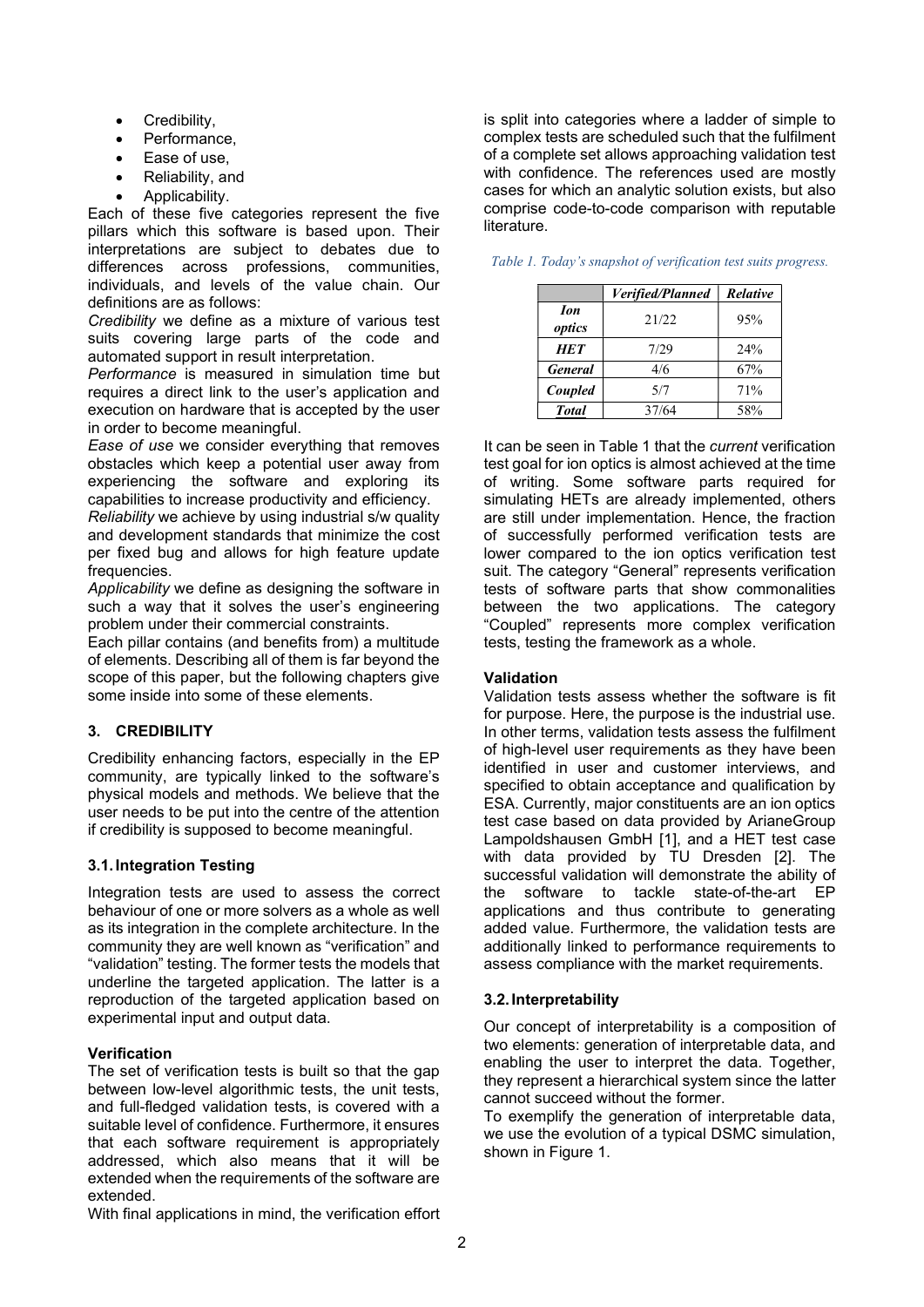- Credibility,
- Performance,
- Ease of use,
- Reliability, and
- Applicability.

Each of these five categories represent the five pillars which this software is based upon. Their interpretations are subject to debates due to differences across professions, communities, individuals, and levels of the value chain. Our definitions are as follows:

Credibility we define as a mixture of various test suits covering large parts of the code and automated support in result interpretation.

Performance is measured in simulation time but requires a direct link to the user's application and execution on hardware that is accepted by the user in order to become meaningful.

Ease of use we consider everything that removes obstacles which keep a potential user away from experiencing the software and exploring its capabilities to increase productivity and efficiency.

Reliability we achieve by using industrial s/w quality and development standards that minimize the cost per fixed bug and allows for high feature update frequencies.

Applicability we define as designing the software in such a way that it solves the user's engineering problem under their commercial constraints.

Each pillar contains (and benefits from) a multitude of elements. Describing all of them is far beyond the scope of this paper, but the following chapters give some inside into some of these elements.

# 3. CREDIBILITY

Credibility enhancing factors, especially in the EP community, are typically linked to the software's physical models and methods. We believe that the user needs to be put into the centre of the attention if credibility is supposed to become meaningful.

# 3.1. Integration Testing

Integration tests are used to assess the correct behaviour of one or more solvers as a whole as well as its integration in the complete architecture. In the community they are well known as "verification" and "validation" testing. The former tests the models that underline the targeted application. The latter is a reproduction of the targeted application based on experimental input and output data.

#### Verification

The set of verification tests is built so that the gap between low-level algorithmic tests, the unit tests, and full-fledged validation tests, is covered with a suitable level of confidence. Furthermore, it ensures that each software requirement is appropriately addressed, which also means that it will be extended when the requirements of the software are extended.

With final applications in mind, the verification effort

is split into categories where a ladder of simple to complex tests are scheduled such that the fulfilment of a complete set allows approaching validation test with confidence. The references used are mostly cases for which an analytic solution exists, but also comprise code-to-code comparison with reputable literature.

|                             | Verified/Planned | Relative |
|-----------------------------|------------------|----------|
| <b><i>Ion</i></b><br>optics | 21/22            | 95%      |
| <b>HET</b>                  | 7/29             | $2.4\%$  |
| <b>General</b>              | 4/6              | 67%      |
| Coupled                     | 5/7              | 71%      |
| <b>Total</b>                | 37/64            | 58%      |

| Table 1. Today's snapshot of verification test suits progress. |  |  |
|----------------------------------------------------------------|--|--|
|----------------------------------------------------------------|--|--|

It can be seen in Table 1 that the *current* verification test goal for ion optics is almost achieved at the time of writing. Some software parts required for simulating HETs are already implemented, others are still under implementation. Hence, the fraction of successfully performed verification tests are lower compared to the ion optics verification test suit. The category "General" represents verification tests of software parts that show commonalities between the two applications. The category "Coupled" represents more complex verification tests, testing the framework as a whole.

#### Validation

Validation tests assess whether the software is fit for purpose. Here, the purpose is the industrial use. In other terms, validation tests assess the fulfilment of high-level user requirements as they have been identified in user and customer interviews, and specified to obtain acceptance and qualification by ESA. Currently, major constituents are an ion optics test case based on data provided by ArianeGroup Lampoldshausen GmbH [1], and a HET test case with data provided by TU Dresden [2]. The successful validation will demonstrate the ability of the software to tackle state-of-the-art EP applications and thus contribute to generating added value. Furthermore, the validation tests are additionally linked to performance requirements to assess compliance with the market requirements.

# 3.2. Interpretability

Our concept of interpretability is a composition of two elements: generation of interpretable data, and enabling the user to interpret the data. Together, they represent a hierarchical system since the latter cannot succeed without the former.

To exemplify the generation of interpretable data, we use the evolution of a typical DSMC simulation, shown in Figure 1.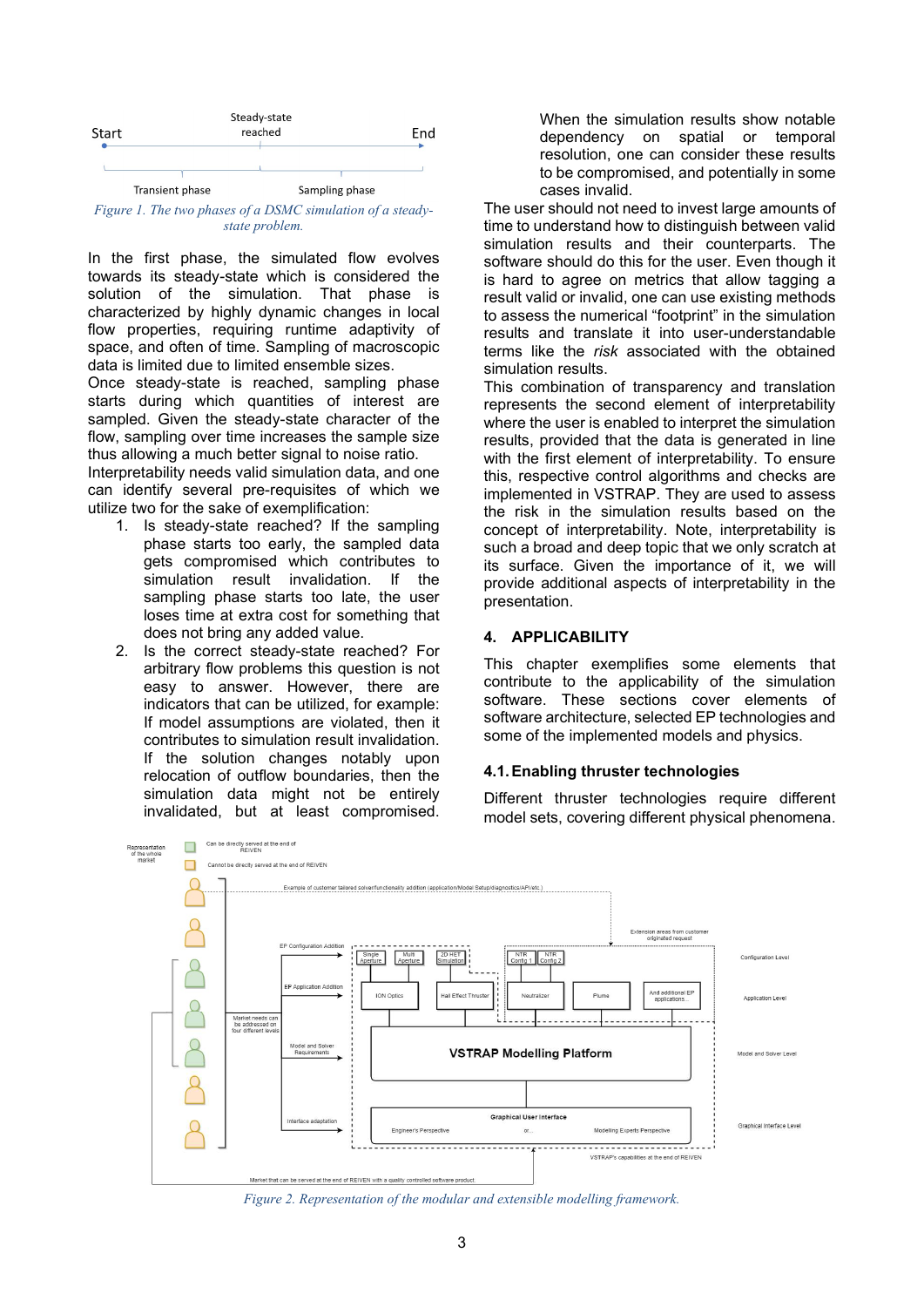

Figure 1. The two phases of a DSMC simulation of a steadystate problem.

In the first phase, the simulated flow evolves towards its steady-state which is considered the solution of the simulation. That phase is characterized by highly dynamic changes in local flow properties, requiring runtime adaptivity of space, and often of time. Sampling of macroscopic data is limited due to limited ensemble sizes.

Once steady-state is reached, sampling phase starts during which quantities of interest are sampled. Given the steady-state character of the flow, sampling over time increases the sample size thus allowing a much better signal to noise ratio.

Interpretability needs valid simulation data, and one can identify several pre-requisites of which we utilize two for the sake of exemplification:

- 1. Is steady-state reached? If the sampling phase starts too early, the sampled data gets compromised which contributes to simulation result invalidation. If the sampling phase starts too late, the user loses time at extra cost for something that does not bring any added value.
- 2. Is the correct steady-state reached? For arbitrary flow problems this question is not easy to answer. However, there are indicators that can be utilized, for example: If model assumptions are violated, then it contributes to simulation result invalidation. If the solution changes notably upon relocation of outflow boundaries, then the simulation data might not be entirely invalidated, but at least compromised.

When the simulation results show notable dependency on spatial or temporal resolution, one can consider these results to be compromised, and potentially in some cases invalid.

The user should not need to invest large amounts of time to understand how to distinguish between valid simulation results and their counterparts. The software should do this for the user. Even though it is hard to agree on metrics that allow tagging a result valid or invalid, one can use existing methods to assess the numerical "footprint" in the simulation results and translate it into user-understandable terms like the risk associated with the obtained simulation results.

This combination of transparency and translation represents the second element of interpretability where the user is enabled to interpret the simulation results, provided that the data is generated in line with the first element of interpretability. To ensure this, respective control algorithms and checks are implemented in VSTRAP. They are used to assess the risk in the simulation results based on the concept of interpretability. Note, interpretability is such a broad and deep topic that we only scratch at its surface. Given the importance of it, we will provide additional aspects of interpretability in the presentation.

#### 4. APPLICABILITY

This chapter exemplifies some elements that contribute to the applicability of the simulation software. These sections cover elements of software architecture, selected EP technologies and some of the implemented models and physics.

#### 4.1. Enabling thruster technologies

Different thruster technologies require different model sets, covering different physical phenomena.



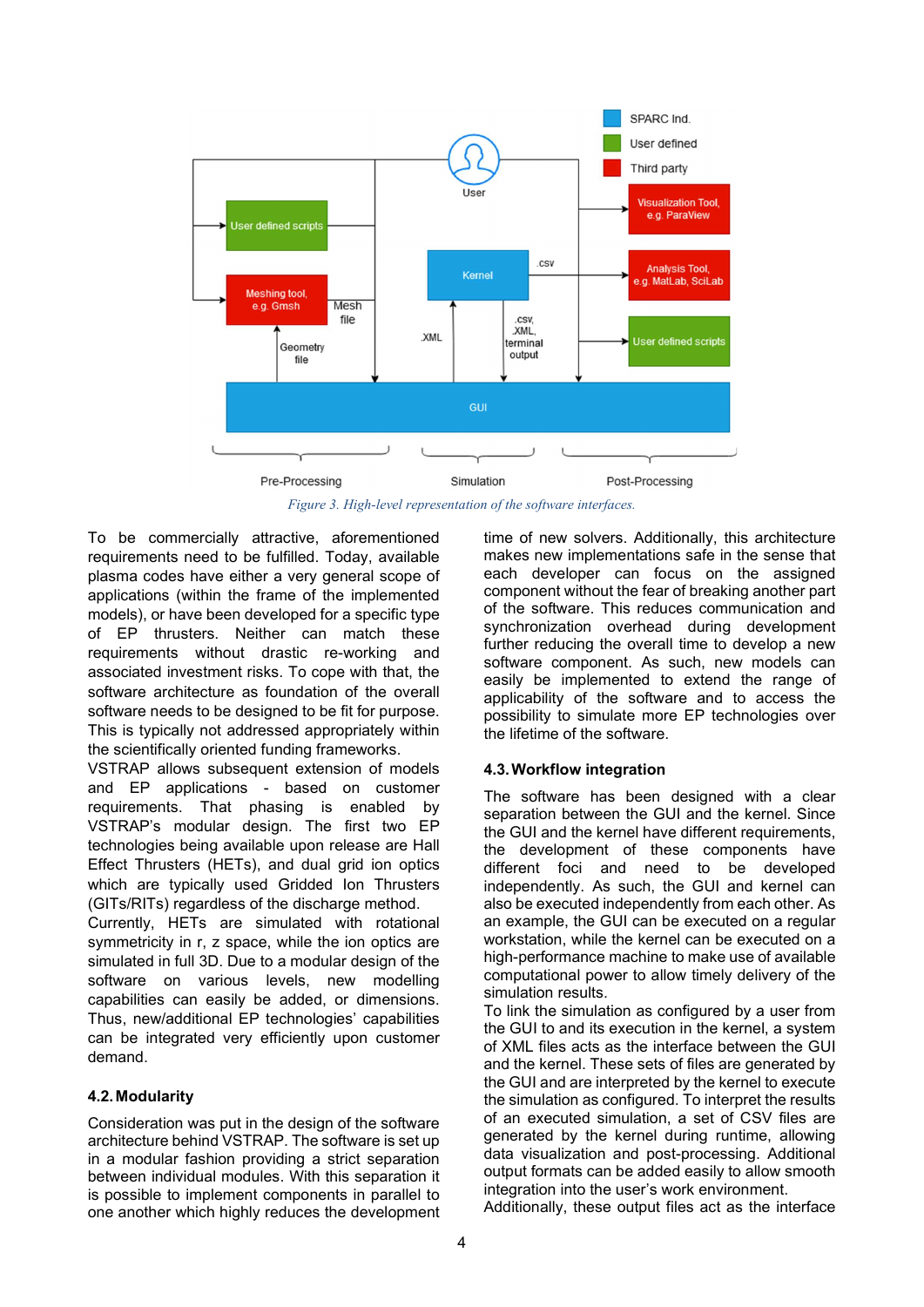

Figure 3. High-level representation of the software interfaces.

To be commercially attractive, aforementioned requirements need to be fulfilled. Today, available plasma codes have either a very general scope of applications (within the frame of the implemented models), or have been developed for a specific type of EP thrusters. Neither can match these requirements without drastic re-working and associated investment risks. To cope with that, the software architecture as foundation of the overall software needs to be designed to be fit for purpose. This is typically not addressed appropriately within the scientifically oriented funding frameworks.

VSTRAP allows subsequent extension of models and EP applications - based on customer requirements. That phasing is enabled by VSTRAP's modular design. The first two EP technologies being available upon release are Hall Effect Thrusters (HETs), and dual grid ion optics which are typically used Gridded Ion Thrusters (GITs/RITs) regardless of the discharge method.

Currently, HETs are simulated with rotational symmetricity in r, z space, while the ion optics are simulated in full 3D. Due to a modular design of the software on various levels, new modelling capabilities can easily be added, or dimensions. Thus, new/additional EP technologies' capabilities can be integrated very efficiently upon customer demand.

#### 4.2. Modularity

Consideration was put in the design of the software architecture behind VSTRAP. The software is set up in a modular fashion providing a strict separation between individual modules. With this separation it is possible to implement components in parallel to one another which highly reduces the development time of new solvers. Additionally, this architecture makes new implementations safe in the sense that each developer can focus on the assigned component without the fear of breaking another part of the software. This reduces communication and synchronization overhead during development further reducing the overall time to develop a new software component. As such, new models can easily be implemented to extend the range of applicability of the software and to access the possibility to simulate more EP technologies over the lifetime of the software.

#### 4.3. Workflow integration

The software has been designed with a clear separation between the GUI and the kernel. Since the GUI and the kernel have different requirements, the development of these components have different foci and need to be developed independently. As such, the GUI and kernel can also be executed independently from each other. As an example, the GUI can be executed on a regular workstation, while the kernel can be executed on a high-performance machine to make use of available computational power to allow timely delivery of the simulation results.

To link the simulation as configured by a user from the GUI to and its execution in the kernel, a system of XML files acts as the interface between the GUI and the kernel. These sets of files are generated by the GUI and are interpreted by the kernel to execute the simulation as configured. To interpret the results of an executed simulation, a set of CSV files are generated by the kernel during runtime, allowing data visualization and post-processing. Additional output formats can be added easily to allow smooth integration into the user's work environment.

Additionally, these output files act as the interface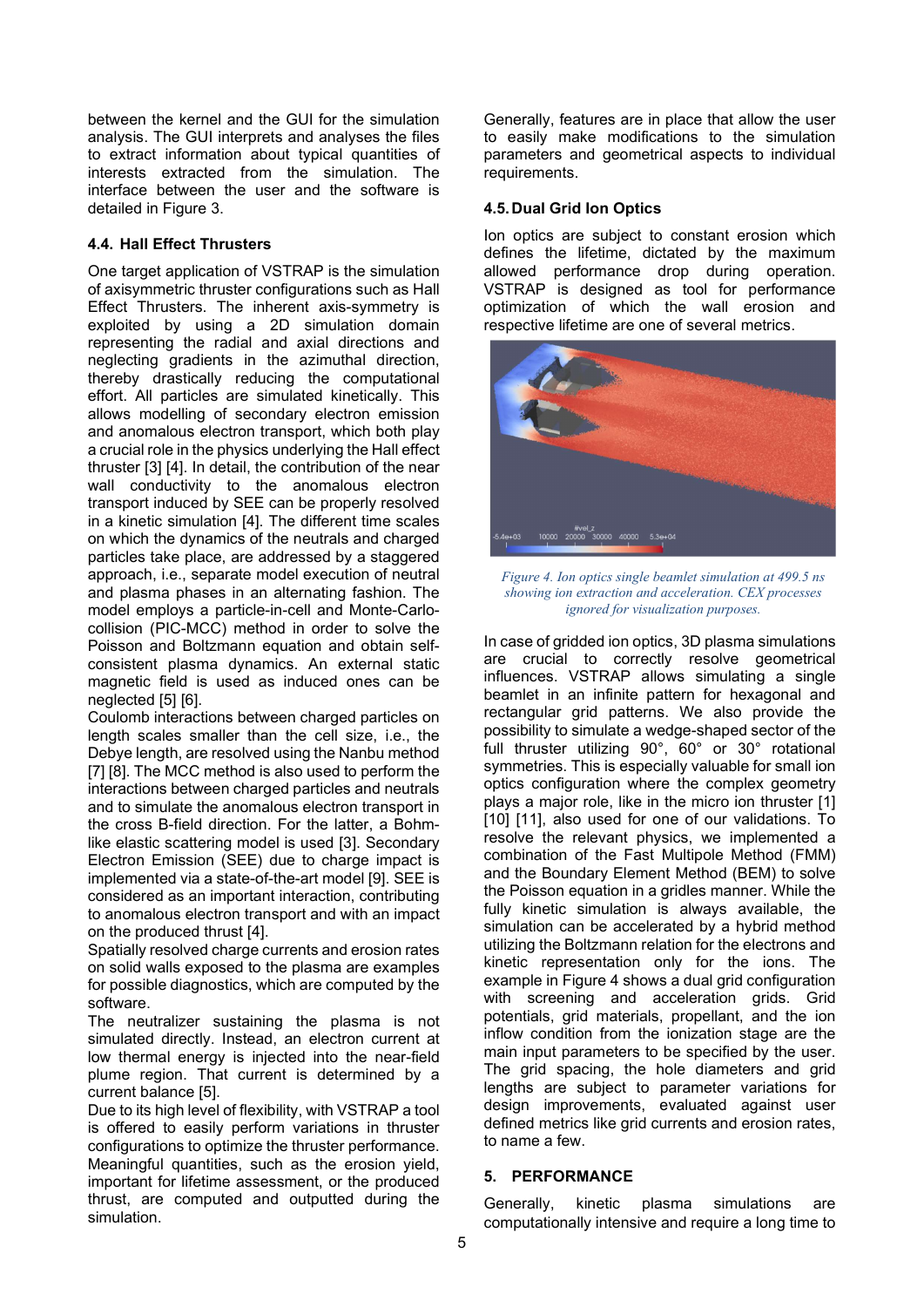between the kernel and the GUI for the simulation analysis. The GUI interprets and analyses the files to extract information about typical quantities of interests extracted from the simulation. The interface between the user and the software is detailed in Figure 3.

#### 4.4. Hall Effect Thrusters

One target application of VSTRAP is the simulation of axisymmetric thruster configurations such as Hall Effect Thrusters. The inherent axis-symmetry is exploited by using a 2D simulation domain representing the radial and axial directions and neglecting gradients in the azimuthal direction, thereby drastically reducing the computational effort. All particles are simulated kinetically. This allows modelling of secondary electron emission and anomalous electron transport, which both play a crucial role in the physics underlying the Hall effect thruster [3] [4]. In detail, the contribution of the near wall conductivity to the anomalous electron transport induced by SEE can be properly resolved in a kinetic simulation [4]. The different time scales on which the dynamics of the neutrals and charged particles take place, are addressed by a staggered approach, i.e., separate model execution of neutral and plasma phases in an alternating fashion. The model employs a particle-in-cell and Monte-Carlocollision (PIC-MCC) method in order to solve the Poisson and Boltzmann equation and obtain selfconsistent plasma dynamics. An external static magnetic field is used as induced ones can be neglected [5] [6].

Coulomb interactions between charged particles on length scales smaller than the cell size, i.e., the Debye length, are resolved using the Nanbu method [7] [8]. The MCC method is also used to perform the interactions between charged particles and neutrals and to simulate the anomalous electron transport in the cross B-field direction. For the latter, a Bohmlike elastic scattering model is used [3]. Secondary Electron Emission (SEE) due to charge impact is implemented via a state-of-the-art model [9]. SEE is considered as an important interaction, contributing to anomalous electron transport and with an impact on the produced thrust [4].

Spatially resolved charge currents and erosion rates on solid walls exposed to the plasma are examples for possible diagnostics, which are computed by the software.

The neutralizer sustaining the plasma is not simulated directly. Instead, an electron current at low thermal energy is injected into the near-field plume region. That current is determined by a current balance [5].

Due to its high level of flexibility, with VSTRAP a tool is offered to easily perform variations in thruster configurations to optimize the thruster performance. Meaningful quantities, such as the erosion yield, important for lifetime assessment, or the produced thrust, are computed and outputted during the simulation.

Generally, features are in place that allow the user to easily make modifications to the simulation parameters and geometrical aspects to individual requirements.

### 4.5. Dual Grid Ion Optics

Ion optics are subject to constant erosion which defines the lifetime, dictated by the maximum allowed performance drop during operation. VSTRAP is designed as tool for performance optimization of which the wall erosion and respective lifetime are one of several metrics.



Figure 4. Ion optics single beamlet simulation at 499.5 ns showing ion extraction and acceleration. CEX processes ignored for visualization purposes.

In case of gridded ion optics, 3D plasma simulations are crucial to correctly resolve geometrical influences. VSTRAP allows simulating a single beamlet in an infinite pattern for hexagonal and rectangular grid patterns. We also provide the possibility to simulate a wedge-shaped sector of the full thruster utilizing 90°, 60° or 30° rotational symmetries. This is especially valuable for small ion optics configuration where the complex geometry plays a major role, like in the micro ion thruster [1] [10] [11], also used for one of our validations. To resolve the relevant physics, we implemented a combination of the Fast Multipole Method (FMM) and the Boundary Element Method (BEM) to solve the Poisson equation in a gridles manner. While the fully kinetic simulation is always available, the simulation can be accelerated by a hybrid method utilizing the Boltzmann relation for the electrons and kinetic representation only for the ions. The example in Figure 4 shows a dual grid configuration with screening and acceleration grids. Grid potentials, grid materials, propellant, and the ion inflow condition from the ionization stage are the main input parameters to be specified by the user. The grid spacing, the hole diameters and grid lengths are subject to parameter variations for design improvements, evaluated against user defined metrics like grid currents and erosion rates, to name a few.

#### 5. PERFORMANCE

Generally, kinetic plasma simulations are computationally intensive and require a long time to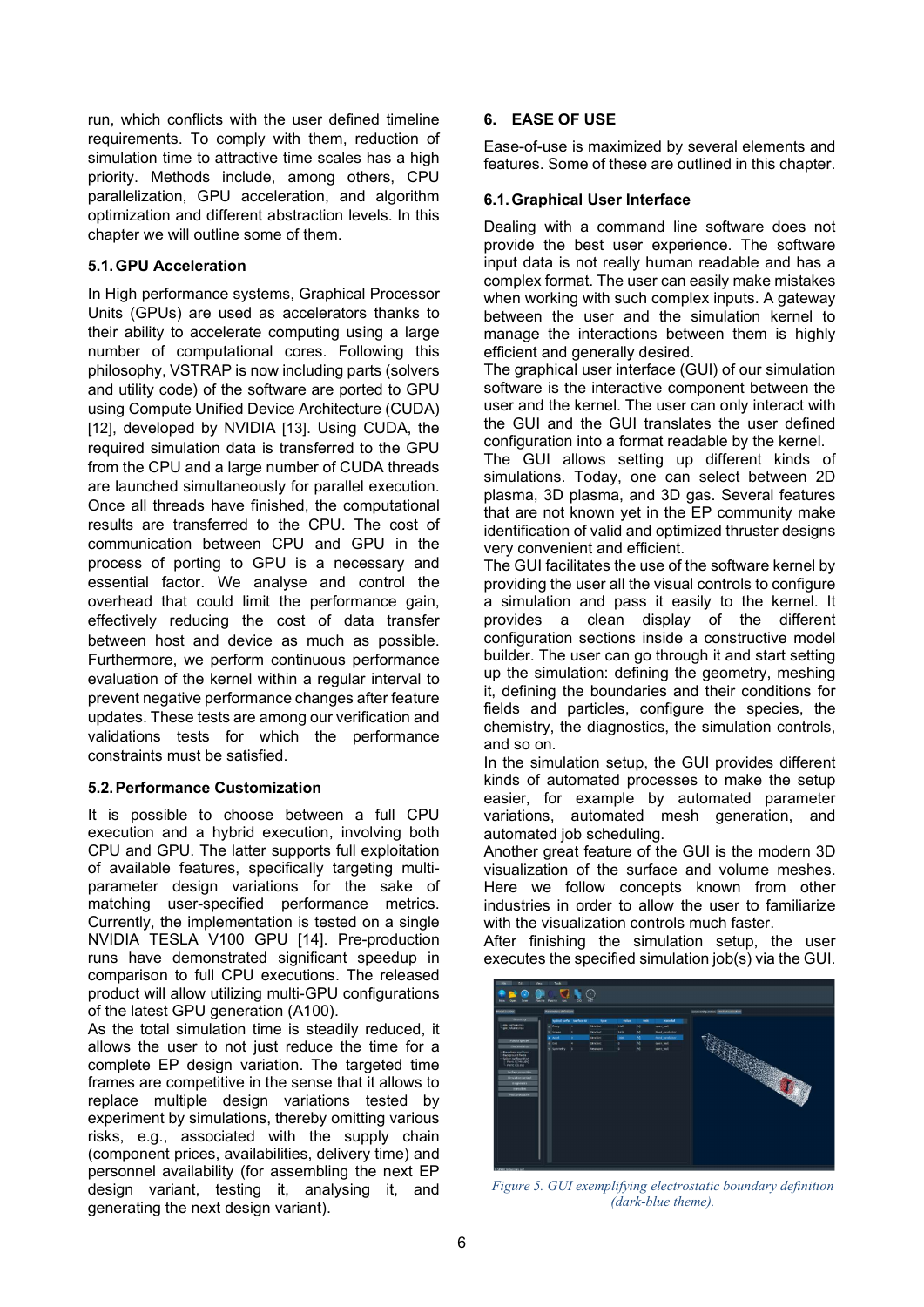run, which conflicts with the user defined timeline requirements. To comply with them, reduction of simulation time to attractive time scales has a high priority. Methods include, among others, CPU parallelization, GPU acceleration, and algorithm optimization and different abstraction levels. In this chapter we will outline some of them.

#### 5.1. GPU Acceleration

In High performance systems, Graphical Processor Units (GPUs) are used as accelerators thanks to their ability to accelerate computing using a large number of computational cores. Following this philosophy, VSTRAP is now including parts (solvers and utility code) of the software are ported to GPU using Compute Unified Device Architecture (CUDA) [12], developed by NVIDIA [13]. Using CUDA, the required simulation data is transferred to the GPU from the CPU and a large number of CUDA threads are launched simultaneously for parallel execution. Once all threads have finished, the computational results are transferred to the CPU. The cost of communication between CPU and GPU in the process of porting to GPU is a necessary and essential factor. We analyse and control the overhead that could limit the performance gain, effectively reducing the cost of data transfer between host and device as much as possible. Furthermore, we perform continuous performance evaluation of the kernel within a regular interval to prevent negative performance changes after feature updates. These tests are among our verification and validations tests for which the performance constraints must be satisfied.

#### 5.2. Performance Customization

It is possible to choose between a full CPU execution and a hybrid execution, involving both CPU and GPU. The latter supports full exploitation of available features, specifically targeting multiparameter design variations for the sake of matching user-specified performance metrics. Currently, the implementation is tested on a single NVIDIA TESLA V100 GPU [14]. Pre-production runs have demonstrated significant speedup in comparison to full CPU executions. The released product will allow utilizing multi-GPU configurations of the latest GPU generation (A100).

As the total simulation time is steadily reduced, it allows the user to not just reduce the time for a complete EP design variation. The targeted time frames are competitive in the sense that it allows to replace multiple design variations tested by experiment by simulations, thereby omitting various risks, e.g., associated with the supply chain (component prices, availabilities, delivery time) and personnel availability (for assembling the next EP design variant, testing it, analysing it, and generating the next design variant).

#### 6. EASE OF USE

Ease-of-use is maximized by several elements and features. Some of these are outlined in this chapter.

#### 6.1. Graphical User Interface

Dealing with a command line software does not provide the best user experience. The software input data is not really human readable and has a complex format. The user can easily make mistakes when working with such complex inputs. A gateway between the user and the simulation kernel to manage the interactions between them is highly efficient and generally desired.

The graphical user interface (GUI) of our simulation software is the interactive component between the user and the kernel. The user can only interact with the GUI and the GUI translates the user defined configuration into a format readable by the kernel.

The GUI allows setting up different kinds of simulations. Today, one can select between 2D plasma, 3D plasma, and 3D gas. Several features that are not known yet in the EP community make identification of valid and optimized thruster designs very convenient and efficient.

The GUI facilitates the use of the software kernel by providing the user all the visual controls to configure a simulation and pass it easily to the kernel. It provides a clean display of the different configuration sections inside a constructive model builder. The user can go through it and start setting up the simulation: defining the geometry, meshing it, defining the boundaries and their conditions for fields and particles, configure the species, the chemistry, the diagnostics, the simulation controls, and so on.

In the simulation setup, the GUI provides different kinds of automated processes to make the setup easier, for example by automated parameter variations, automated mesh generation, and automated job scheduling.

Another great feature of the GUI is the modern 3D visualization of the surface and volume meshes. Here we follow concepts known from other industries in order to allow the user to familiarize with the visualization controls much faster.

After finishing the simulation setup, the user executes the specified simulation job(s) via the GUI.



Figure 5. GUI exemplifying electrostatic boundary definition (dark-blue theme).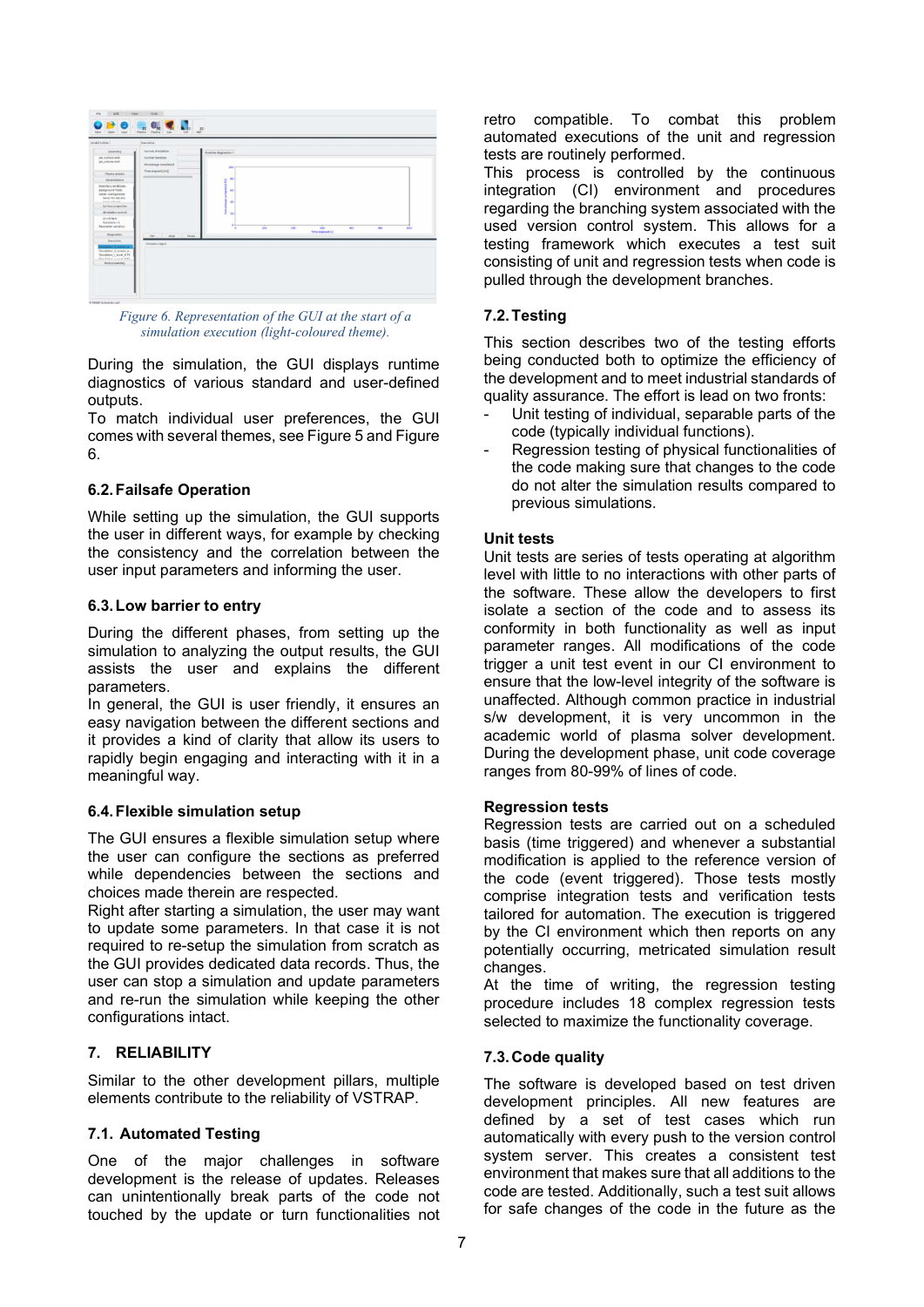

Figure 6. Representation of the GUI at the start of a simulation execution (light-coloured theme).

During the simulation, the GUI displays runtime diagnostics of various standard and user-defined outputs.

To match individual user preferences, the GUI comes with several themes, see Figure 5 and Figure 6.

#### 6.2. Failsafe Operation

While setting up the simulation, the GUI supports the user in different ways, for example by checking the consistency and the correlation between the user input parameters and informing the user.

#### 6.3. Low barrier to entry

During the different phases, from setting up the simulation to analyzing the output results, the GUI assists the user and explains the different parameters.

In general, the GUI is user friendly, it ensures an easy navigation between the different sections and it provides a kind of clarity that allow its users to rapidly begin engaging and interacting with it in a meaningful way.

#### 6.4. Flexible simulation setup

The GUI ensures a flexible simulation setup where the user can configure the sections as preferred while dependencies between the sections and choices made therein are respected.

Right after starting a simulation, the user may want to update some parameters. In that case it is not required to re-setup the simulation from scratch as the GUI provides dedicated data records. Thus, the user can stop a simulation and update parameters and re-run the simulation while keeping the other configurations intact.

#### 7. RELIABILITY

Similar to the other development pillars, multiple elements contribute to the reliability of VSTRAP.

#### 7.1. Automated Testing

One of the major challenges in software development is the release of updates. Releases can unintentionally break parts of the code not touched by the update or turn functionalities not retro compatible. To combat this problem automated executions of the unit and regression tests are routinely performed.

This process is controlled by the continuous integration (CI) environment and procedures regarding the branching system associated with the used version control system. This allows for a testing framework which executes a test suit consisting of unit and regression tests when code is pulled through the development branches.

### 7.2. Testing

This section describes two of the testing efforts being conducted both to optimize the efficiency of the development and to meet industrial standards of quality assurance. The effort is lead on two fronts:

- Unit testing of individual, separable parts of the code (typically individual functions).
- Regression testing of physical functionalities of the code making sure that changes to the code do not alter the simulation results compared to previous simulations.

#### Unit tests

Unit tests are series of tests operating at algorithm level with little to no interactions with other parts of the software. These allow the developers to first isolate a section of the code and to assess its conformity in both functionality as well as input parameter ranges. All modifications of the code trigger a unit test event in our CI environment to ensure that the low-level integrity of the software is unaffected. Although common practice in industrial s/w development, it is very uncommon in the academic world of plasma solver development. During the development phase, unit code coverage ranges from 80-99% of lines of code.

#### Regression tests

Regression tests are carried out on a scheduled basis (time triggered) and whenever a substantial modification is applied to the reference version of the code (event triggered). Those tests mostly comprise integration tests and verification tests tailored for automation. The execution is triggered by the CI environment which then reports on any potentially occurring, metricated simulation result changes.

At the time of writing, the regression testing procedure includes 18 complex regression tests selected to maximize the functionality coverage.

#### 7.3. Code quality

The software is developed based on test driven development principles. All new features are defined by a set of test cases which run automatically with every push to the version control system server. This creates a consistent test environment that makes sure that all additions to the code are tested. Additionally, such a test suit allows for safe changes of the code in the future as the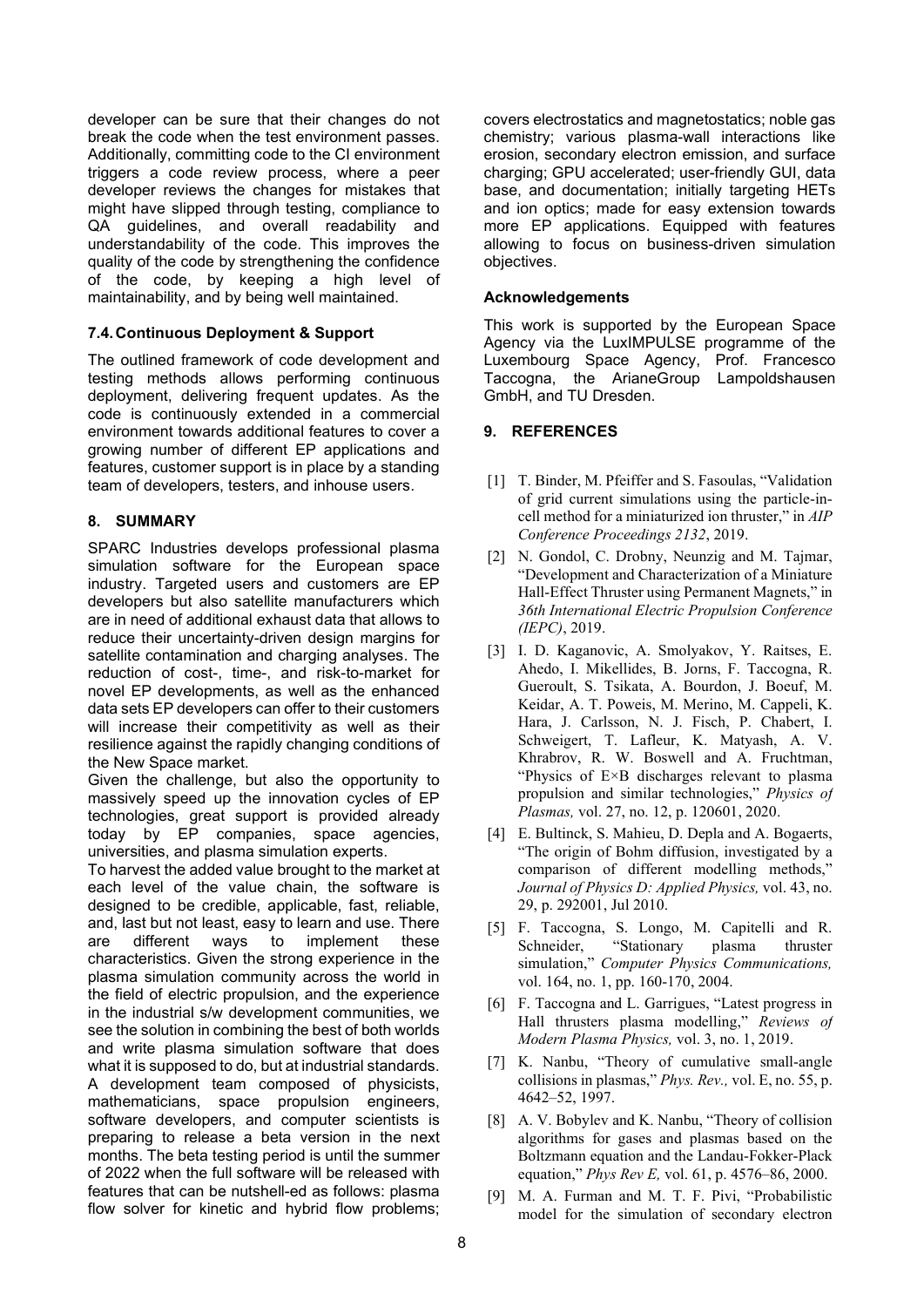developer can be sure that their changes do not break the code when the test environment passes. Additionally, committing code to the CI environment triggers a code review process, where a peer developer reviews the changes for mistakes that might have slipped through testing, compliance to QA guidelines, and overall readability and understandability of the code. This improves the quality of the code by strengthening the confidence of the code, by keeping a high level of maintainability, and by being well maintained.

#### 7.4. Continuous Deployment & Support

The outlined framework of code development and testing methods allows performing continuous deployment, delivering frequent updates. As the code is continuously extended in a commercial environment towards additional features to cover a growing number of different EP applications and features, customer support is in place by a standing team of developers, testers, and inhouse users.

### 8. SUMMARY

SPARC Industries develops professional plasma simulation software for the European space industry. Targeted users and customers are EP developers but also satellite manufacturers which are in need of additional exhaust data that allows to reduce their uncertainty-driven design margins for satellite contamination and charging analyses. The reduction of cost-, time-, and risk-to-market for novel EP developments, as well as the enhanced data sets EP developers can offer to their customers will increase their competitivity as well as their resilience against the rapidly changing conditions of the New Space market.

Given the challenge, but also the opportunity to massively speed up the innovation cycles of EP technologies, great support is provided already today by EP companies, space agencies, universities, and plasma simulation experts.

To harvest the added value brought to the market at each level of the value chain, the software is designed to be credible, applicable, fast, reliable, and, last but not least, easy to learn and use. There are different ways to implement these characteristics. Given the strong experience in the plasma simulation community across the world in the field of electric propulsion, and the experience in the industrial s/w development communities, we see the solution in combining the best of both worlds and write plasma simulation software that does what it is supposed to do, but at industrial standards. A development team composed of physicists, mathematicians, space propulsion engineers, software developers, and computer scientists is preparing to release a beta version in the next months. The beta testing period is until the summer of 2022 when the full software will be released with features that can be nutshell-ed as follows: plasma flow solver for kinetic and hybrid flow problems;

covers electrostatics and magnetostatics; noble gas chemistry; various plasma-wall interactions like erosion, secondary electron emission, and surface charging; GPU accelerated; user-friendly GUI, data base, and documentation; initially targeting HETs and ion optics; made for easy extension towards more EP applications. Equipped with features allowing to focus on business-driven simulation objectives.

### Acknowledgements

This work is supported by the European Space Agency via the LuxIMPULSE programme of the Luxembourg Space Agency, Prof. Francesco Taccogna, the ArianeGroup Lampoldshausen GmbH, and TU Dresden.

### 9. REFERENCES

- [1] T. Binder, M. Pfeiffer and S. Fasoulas, "Validation" of grid current simulations using the particle-incell method for a miniaturized ion thruster," in AIP Conference Proceedings 2132, 2019.
- [2] N. Gondol, C. Drobny, Neunzig and M. Tajmar, "Development and Characterization of a Miniature Hall-Effect Thruster using Permanent Magnets," in 36th International Electric Propulsion Conference (IEPC), 2019.
- [3] I. D. Kaganovic, A. Smolyakov, Y. Raitses, E. Ahedo, I. Mikellides, B. Jorns, F. Taccogna, R. Gueroult, S. Tsikata, A. Bourdon, J. Boeuf, M. Keidar, A. T. Poweis, M. Merino, M. Cappeli, K. Hara, J. Carlsson, N. J. Fisch, P. Chabert, I. Schweigert, T. Lafleur, K. Matyash, A. V. Khrabrov, R. W. Boswell and A. Fruchtman, "Physics of E×B discharges relevant to plasma propulsion and similar technologies," Physics of Plasmas, vol. 27, no. 12, p. 120601, 2020.
- [4] E. Bultinck, S. Mahieu, D. Depla and A. Bogaerts, "The origin of Bohm diffusion, investigated by a comparison of different modelling methods," Journal of Physics D: Applied Physics, vol. 43, no. 29, p. 292001, Jul 2010.
- [5] F. Taccogna, S. Longo, M. Capitelli and R. Schneider, "Stationary plasma thruster simulation," Computer Physics Communications, vol. 164, no. 1, pp. 160-170, 2004.
- [6] F. Taccogna and L. Garrigues, "Latest progress in Hall thrusters plasma modelling," Reviews of Modern Plasma Physics, vol. 3, no. 1, 2019.
- [7] K. Nanbu, "Theory of cumulative small-angle collisions in plasmas," *Phys. Rev.*, vol. E, no.  $55$ , p. 4642–52, 1997.
- [8] A. V. Bobylev and K. Nanbu, "Theory of collision algorithms for gases and plasmas based on the Boltzmann equation and the Landau-Fokker-Plack equation," Phys Rev E, vol. 61, p. 4576–86, 2000.
- [9] M. A. Furman and M. T. F. Pivi, "Probabilistic model for the simulation of secondary electron